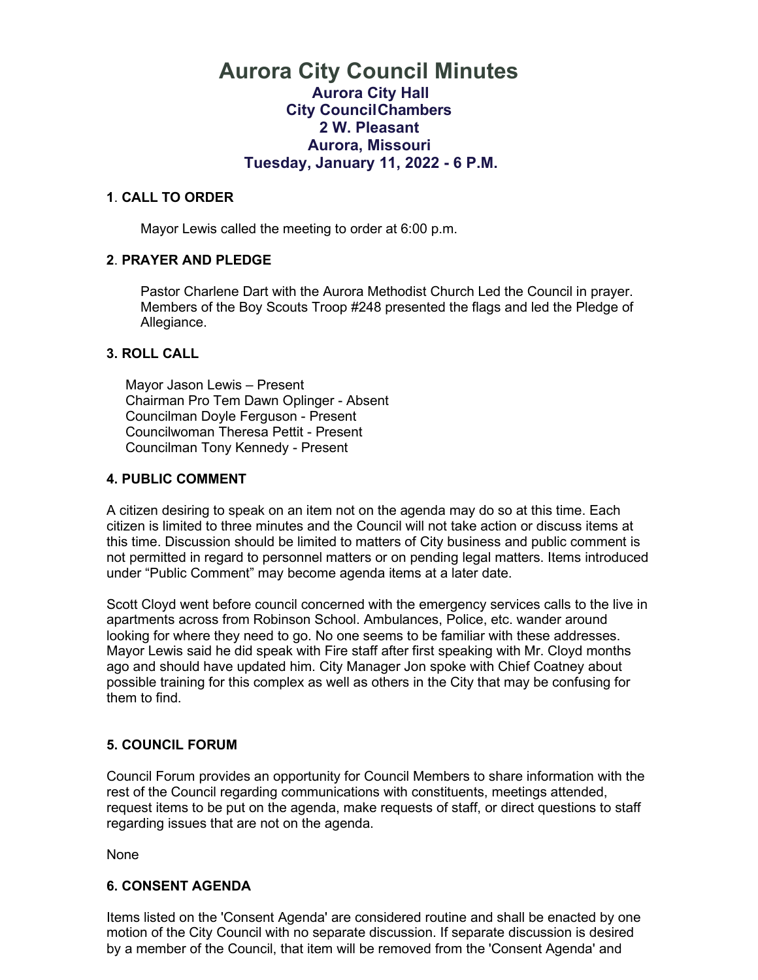## **Aurora City Council Minutes Aurora City Hall City CouncilChambers 2 W. Pleasant Aurora, Missouri Tuesday, January 11, 2022 - 6 P.M.**

#### **1**. **CALL TO ORDER**

Mayor Lewis called the meeting to order at 6:00 p.m.

#### **2**. **PRAYER AND PLEDGE**

 Pastor Charlene Dart with the Aurora Methodist Church Led the Council in prayer. Members of the Boy Scouts Troop #248 presented the flags and led the Pledge of Allegiance.

#### **3. ROLL CALL**

 Mayor Jason Lewis – Present Chairman Pro Tem Dawn Oplinger - Absent Councilman Doyle Ferguson - Present Councilwoman Theresa Pettit - Present Councilman Tony Kennedy - Present

#### **4. PUBLIC COMMENT**

A citizen desiring to speak on an item not on the agenda may do so at this time. Each citizen is limited to three minutes and the Council will not take action or discuss items at this time. Discussion should be limited to matters of City business and public comment is not permitted in regard to personnel matters or on pending legal matters. Items introduced under "Public Comment" may become agenda items at a later date.

Scott Cloyd went before council concerned with the emergency services calls to the live in apartments across from Robinson School. Ambulances, Police, etc. wander around looking for where they need to go. No one seems to be familiar with these addresses. Mayor Lewis said he did speak with Fire staff after first speaking with Mr. Cloyd months ago and should have updated him. City Manager Jon spoke with Chief Coatney about possible training for this complex as well as others in the City that may be confusing for them to find.

#### **5. COUNCIL FORUM**

Council Forum provides an opportunity for Council Members to share information with the rest of the Council regarding communications with constituents, meetings attended, request items to be put on the agenda, make requests of staff, or direct questions to staff regarding issues that are not on the agenda.

None

#### **6. CONSENT AGENDA**

Items listed on the 'Consent Agenda' are considered routine and shall be enacted by one motion of the City Council with no separate discussion. If separate discussion is desired by a member of the Council, that item will be removed from the 'Consent Agenda' and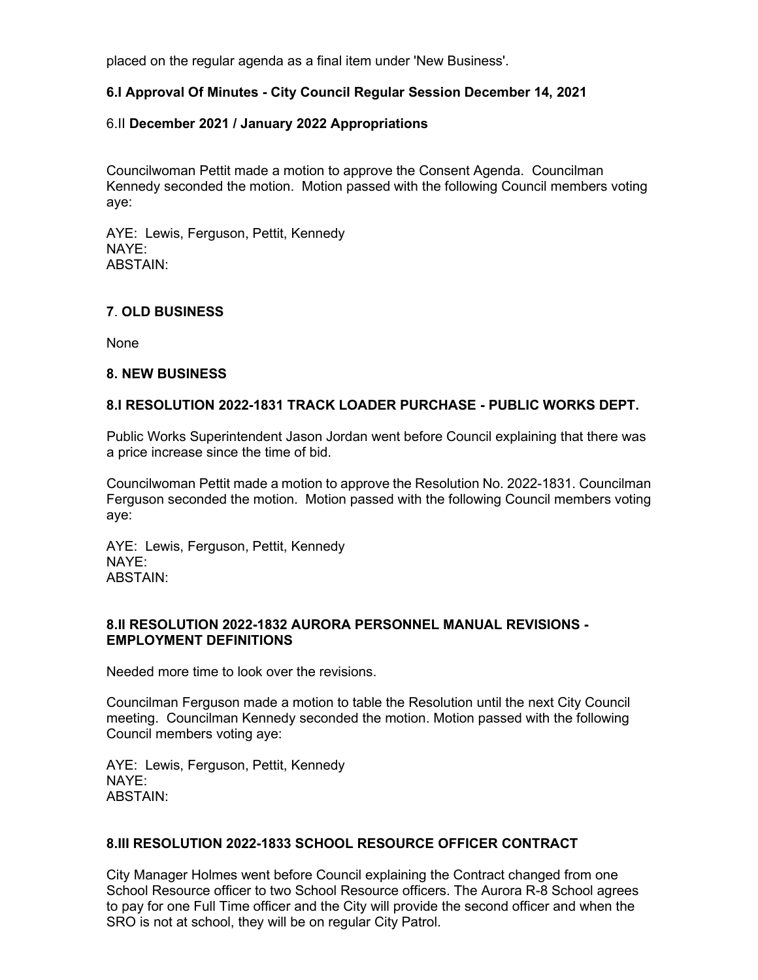placed on the regular agenda as a final item under 'New Business'.

#### **6.I Approval Of Minutes - City Council Regular Session December 14, 2021**

#### 6.II **December 2021 / January 2022 Appropriations**

Councilwoman Pettit made a motion to approve the Consent Agenda. Councilman Kennedy seconded the motion. Motion passed with the following Council members voting aye:

AYE: Lewis, Ferguson, Pettit, Kennedy NAYE: ABSTAIN:

#### **7**. **OLD BUSINESS**

None

#### **8. NEW BUSINESS**

#### **8.I RESOLUTION 2022-1831 TRACK LOADER PURCHASE - PUBLIC WORKS DEPT.**

Public Works Superintendent Jason Jordan went before Council explaining that there was a price increase since the time of bid.

Councilwoman Pettit made a motion to approve the Resolution No. 2022-1831. Councilman Ferguson seconded the motion. Motion passed with the following Council members voting aye:

AYE: Lewis, Ferguson, Pettit, Kennedy NAYE: ABSTAIN:

#### **8.II RESOLUTION 2022-1832 AURORA PERSONNEL MANUAL REVISIONS - EMPLOYMENT DEFINITIONS**

Needed more time to look over the revisions.

Councilman Ferguson made a motion to table the Resolution until the next City Council meeting. Councilman Kennedy seconded the motion. Motion passed with the following Council members voting aye:

AYE: Lewis, Ferguson, Pettit, Kennedy NAYE: ABSTAIN:

#### **8.III RESOLUTION 2022-1833 SCHOOL RESOURCE OFFICER CONTRACT**

City Manager Holmes went before Council explaining the Contract changed from one School Resource officer to two School Resource officers. The Aurora R-8 School agrees to pay for one Full Time officer and the City will provide the second officer and when the SRO is not at school, they will be on regular City Patrol.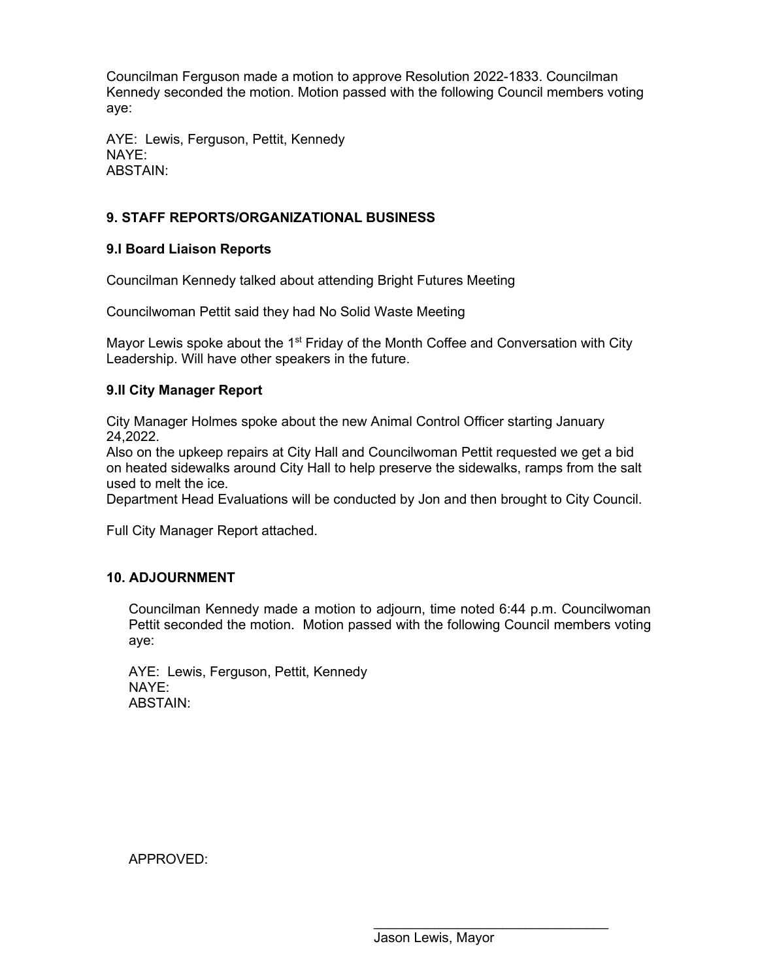Councilman Ferguson made a motion to approve Resolution 2022-1833. Councilman Kennedy seconded the motion. Motion passed with the following Council members voting aye:

AYE: Lewis, Ferguson, Pettit, Kennedy NAYE: ABSTAIN:

#### **9. STAFF REPORTS/ORGANIZATIONAL BUSINESS**

#### **9.I Board Liaison Reports**

Councilman Kennedy talked about attending Bright Futures Meeting

Councilwoman Pettit said they had No Solid Waste Meeting

Mayor Lewis spoke about the 1<sup>st</sup> Friday of the Month Coffee and Conversation with City Leadership. Will have other speakers in the future.

#### **9.II City Manager Report**

City Manager Holmes spoke about the new Animal Control Officer starting January 24,2022.

Also on the upkeep repairs at City Hall and Councilwoman Pettit requested we get a bid on heated sidewalks around City Hall to help preserve the sidewalks, ramps from the salt used to melt the ice.

Department Head Evaluations will be conducted by Jon and then brought to City Council.

Full City Manager Report attached.

#### **10. ADJOURNMENT**

Councilman Kennedy made a motion to adjourn, time noted 6:44 p.m. Councilwoman Pettit seconded the motion. Motion passed with the following Council members voting aye:

AYE: Lewis, Ferguson, Pettit, Kennedy NAYE: ABSTAIN:

APPROVED:

\_\_\_\_\_\_\_\_\_\_\_\_\_\_\_\_\_\_\_\_\_\_\_\_\_\_\_\_\_\_\_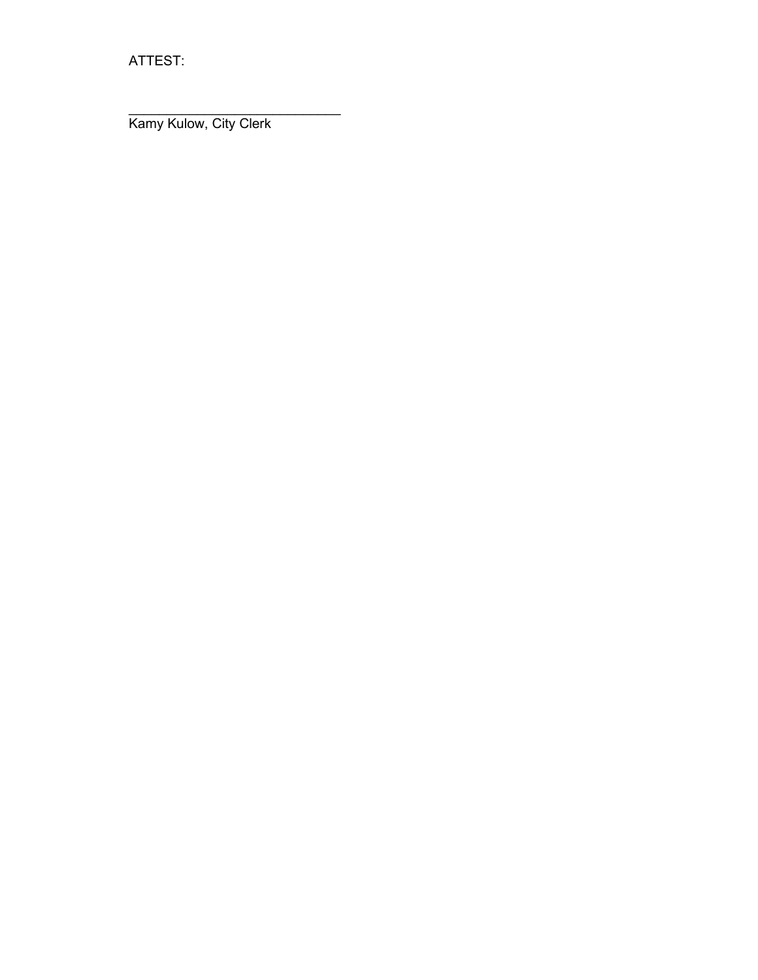ATTEST:

 $\_$ Kamy Kulow, City Clerk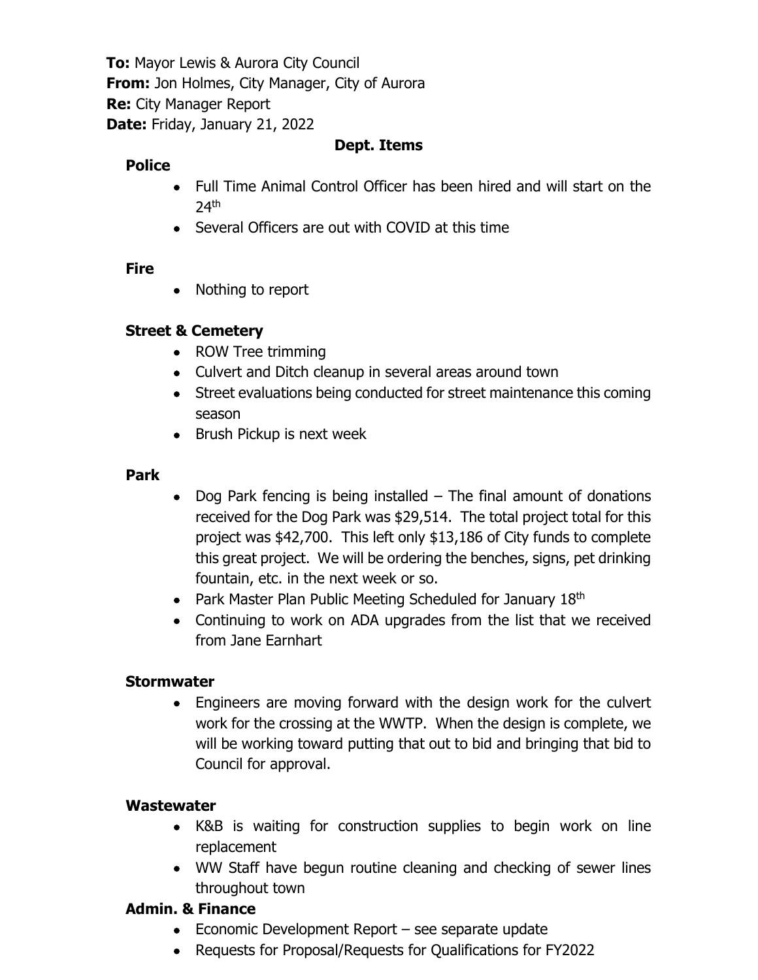**To:** Mayor Lewis & Aurora City Council **From:** Jon Holmes, City Manager, City of Aurora **Re:** City Manager Report **Date:** Friday, January 21, 2022

## **Dept. Items**

## **Police**

- Full Time Animal Control Officer has been hired and will start on the  $24<sup>th</sup>$
- Several Officers are out with COVID at this time

### **Fire**

• Nothing to report

## **Street & Cemetery**

- ROW Tree trimming
- Culvert and Ditch cleanup in several areas around town
- Street evaluations being conducted for street maintenance this coming season
- Brush Pickup is next week

### **Park**

- Dog Park fencing is being installed The final amount of donations received for the Dog Park was \$29,514. The total project total for this project was \$42,700. This left only \$13,186 of City funds to complete this great project. We will be ordering the benches, signs, pet drinking fountain, etc. in the next week or so.
- Park Master Plan Public Meeting Scheduled for January 18<sup>th</sup>
- Continuing to work on ADA upgrades from the list that we received from Jane Earnhart

### **Stormwater**

• Engineers are moving forward with the design work for the culvert work for the crossing at the WWTP. When the design is complete, we will be working toward putting that out to bid and bringing that bid to Council for approval.

## **Wastewater**

- K&B is waiting for construction supplies to begin work on line replacement
- WW Staff have begun routine cleaning and checking of sewer lines throughout town

## **Admin. & Finance**

- Economic Development Report see separate update
- Requests for Proposal/Requests for Qualifications for FY2022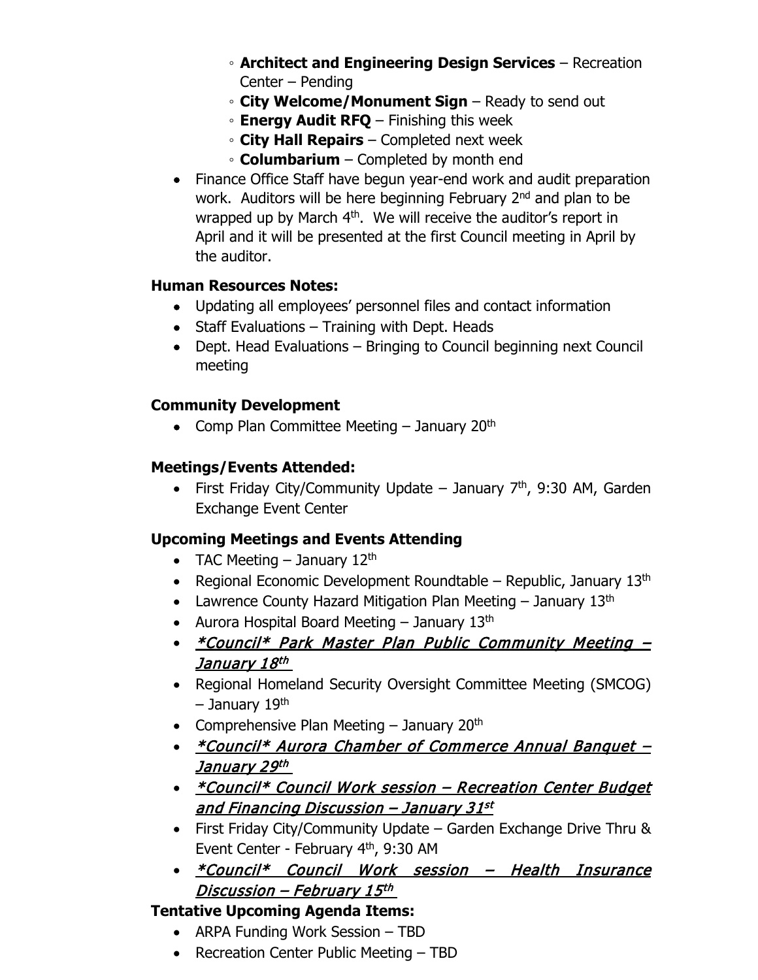- **Architect and Engineering Design Services** Recreation Center – Pending
- **City Welcome/Monument Sign** Ready to send out
- **Energy Audit RFQ** Finishing this week
- **City Hall Repairs** Completed next week
- **Columbarium** Completed by month end
- Finance Office Staff have begun year-end work and audit preparation work. Auditors will be here beginning February 2<sup>nd</sup> and plan to be wrapped up by March 4<sup>th</sup>. We will receive the auditor's report in April and it will be presented at the first Council meeting in April by the auditor.

## **Human Resources Notes:**

- Updating all employees' personnel files and contact information
- Staff Evaluations Training with Dept. Heads
- Dept. Head Evaluations Bringing to Council beginning next Council meeting

## **Community Development**

• Comp Plan Committee Meeting  $-$  January 20<sup>th</sup>

## **Meetings/Events Attended:**

• First Friday City/Community Update – January  $7<sup>th</sup>$ , 9:30 AM, Garden Exchange Event Center

## **Upcoming Meetings and Events Attending**

- TAC Meeting  $-$  January 12<sup>th</sup>
- Regional Economic Development Roundtable Republic, January  $13<sup>th</sup>$
- Lawrence County Hazard Mitigation Plan Meeting  $-$  January 13<sup>th</sup>
- Aurora Hospital Board Meeting  $-$  January 13<sup>th</sup>
- *\*Council\* Park Master Plan Public Community Meeting -*January 18th
- Regional Homeland Security Oversight Committee Meeting (SMCOG) – January 19th
- Comprehensive Plan Meeting  $-$  January 20<sup>th</sup>
- *\*Council\* Aurora Chamber of Commerce Annual Banquet -*January 29th
- *\*Council\* Council Work session Recreation Center Budget* and Financing Discussion – January 31st
- First Friday City/Community Update Garden Exchange Drive Thru & Event Center - February 4th, 9:30 AM
- \*Council\* Council Work session Health Insurance Discussion – February 15th

## **Tentative Upcoming Agenda Items:**

- ARPA Funding Work Session TBD
- Recreation Center Public Meeting TBD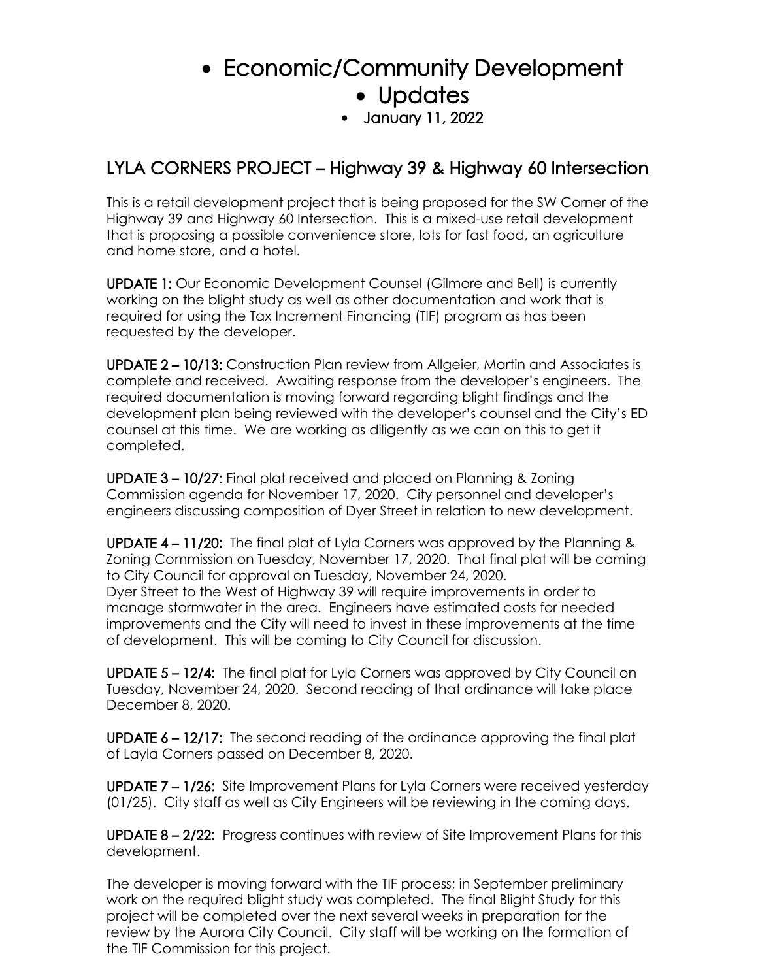# • Economic/Community Development • Updates

• January 11, 2022

## LYLA CORNERS PROJECT – Highway 39 & Highway 60 Intersection

This is a retail development project that is being proposed for the SW Corner of the Highway 39 and Highway 60 Intersection. This is a mixed-use retail development that is proposing a possible convenience store, lots for fast food, an agriculture and home store, and a hotel.

UPDATE 1: Our Economic Development Counsel (Gilmore and Bell) is currently working on the blight study as well as other documentation and work that is required for using the Tax Increment Financing (TIF) program as has been requested by the developer.

UPDATE 2 – 10/13: Construction Plan review from Allgeier, Martin and Associates is complete and received. Awaiting response from the developer's engineers. The required documentation is moving forward regarding blight findings and the development plan being reviewed with the developer's counsel and the City's ED counsel at this time. We are working as diligently as we can on this to get it completed.

UPDATE 3 – 10/27: Final plat received and placed on Planning & Zoning Commission agenda for November 17, 2020. City personnel and developer's engineers discussing composition of Dyer Street in relation to new development.

UPDATE 4 – 11/20: The final plat of Lyla Corners was approved by the Planning & Zoning Commission on Tuesday, November 17, 2020. That final plat will be coming to City Council for approval on Tuesday, November 24, 2020. Dyer Street to the West of Highway 39 will require improvements in order to manage stormwater in the area. Engineers have estimated costs for needed improvements and the City will need to invest in these improvements at the time of development. This will be coming to City Council for discussion.

UPDATE 5 – 12/4: The final plat for Lyla Corners was approved by City Council on Tuesday, November 24, 2020. Second reading of that ordinance will take place December 8, 2020.

UPDATE 6 – 12/17: The second reading of the ordinance approving the final plat of Layla Corners passed on December 8, 2020.

UPDATE 7 – 1/26: Site Improvement Plans for Lyla Corners were received yesterday (01/25). City staff as well as City Engineers will be reviewing in the coming days.

UPDATE 8 – 2/22: Progress continues with review of Site Improvement Plans for this development.

The developer is moving forward with the TIF process; in September preliminary work on the required blight study was completed. The final Blight Study for this project will be completed over the next several weeks in preparation for the review by the Aurora City Council. City staff will be working on the formation of the TIF Commission for this project.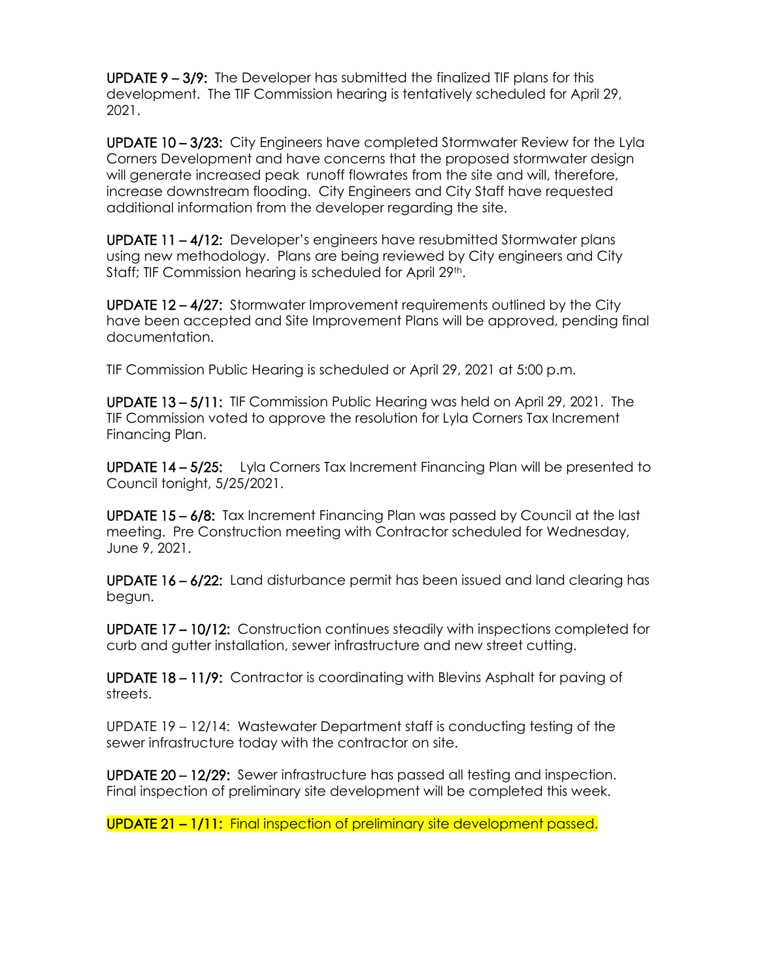UPDATE 9 – 3/9: The Developer has submitted the finalized TIF plans for this development. The TIF Commission hearing is tentatively scheduled for April 29, 2021.

UPDATE 10 – 3/23: City Engineers have completed Stormwater Review for the Lyla Corners Development and have concerns that the proposed stormwater design will generate increased peak runoff flowrates from the site and will, therefore, increase downstream flooding. City Engineers and City Staff have requested additional information from the developer regarding the site.

UPDATE 11 – 4/12: Developer's engineers have resubmitted Stormwater plans using new methodology. Plans are being reviewed by City engineers and City Staff; TIF Commission hearing is scheduled for April 29th.

UPDATE 12 – 4/27: Stormwater Improvement requirements outlined by the City have been accepted and Site Improvement Plans will be approved, pending final documentation.

TIF Commission Public Hearing is scheduled or April 29, 2021 at 5:00 p.m.

UPDATE 13 – 5/11: TIF Commission Public Hearing was held on April 29, 2021. The TIF Commission voted to approve the resolution for Lyla Corners Tax Increment Financing Plan.

UPDATE 14 - 5/25: Lyla Corners Tax Increment Financing Plan will be presented to Council tonight, 5/25/2021.

UPDATE 15 – 6/8: Tax Increment Financing Plan was passed by Council at the last meeting. Pre Construction meeting with Contractor scheduled for Wednesday, June 9, 2021.

UPDATE 16 – 6/22: Land disturbance permit has been issued and land clearing has begun.

UPDATE 17 – 10/12: Construction continues steadily with inspections completed for curb and gutter installation, sewer infrastructure and new street cutting.

UPDATE 18 – 11/9: Contractor is coordinating with Blevins Asphalt for paving of streets.

UPDATE 19 – 12/14: Wastewater Department staff is conducting testing of the sewer infrastructure today with the contractor on site.

UPDATE 20 – 12/29: Sewer infrastructure has passed all testing and inspection. Final inspection of preliminary site development will be completed this week.

UPDATE 21 – 1/11: Final inspection of preliminary site development passed.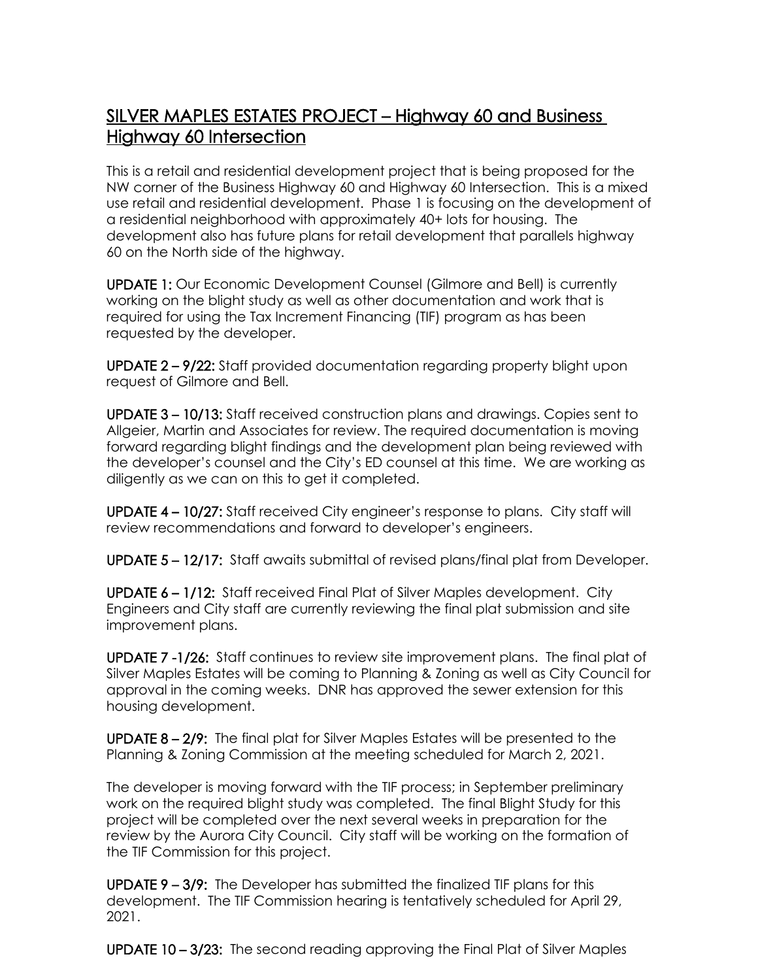## SILVER MAPLES ESTATES PROJECT – Highway 60 and Business Highway 60 Intersection

This is a retail and residential development project that is being proposed for the NW corner of the Business Highway 60 and Highway 60 Intersection. This is a mixed use retail and residential development. Phase 1 is focusing on the development of a residential neighborhood with approximately 40+ lots for housing. The development also has future plans for retail development that parallels highway 60 on the North side of the highway.

UPDATE 1: Our Economic Development Counsel (Gilmore and Bell) is currently working on the blight study as well as other documentation and work that is required for using the Tax Increment Financing (TIF) program as has been requested by the developer.

UPDATE 2 – 9/22: Staff provided documentation regarding property blight upon request of Gilmore and Bell.

UPDATE 3 – 10/13: Staff received construction plans and drawings. Copies sent to Allgeier, Martin and Associates for review. The required documentation is moving forward regarding blight findings and the development plan being reviewed with the developer's counsel and the City's ED counsel at this time. We are working as diligently as we can on this to get it completed.

UPDATE 4 – 10/27: Staff received City engineer's response to plans. City staff will review recommendations and forward to developer's engineers.

UPDATE 5 – 12/17: Staff awaits submittal of revised plans/final plat from Developer.

UPDATE 6 – 1/12: Staff received Final Plat of Silver Maples development. City Engineers and City staff are currently reviewing the final plat submission and site improvement plans.

UPDATE 7 -1/26: Staff continues to review site improvement plans. The final plat of Silver Maples Estates will be coming to Planning & Zoning as well as City Council for approval in the coming weeks. DNR has approved the sewer extension for this housing development.

UPDATE 8 – 2/9: The final plat for Silver Maples Estates will be presented to the Planning & Zoning Commission at the meeting scheduled for March 2, 2021.

The developer is moving forward with the TIF process; in September preliminary work on the required blight study was completed. The final Blight Study for this project will be completed over the next several weeks in preparation for the review by the Aurora City Council. City staff will be working on the formation of the TIF Commission for this project.

UPDATE 9 – 3/9: The Developer has submitted the finalized TIF plans for this development. The TIF Commission hearing is tentatively scheduled for April 29, 2021.

UPDATE 10 – 3/23: The second reading approving the Final Plat of Silver Maples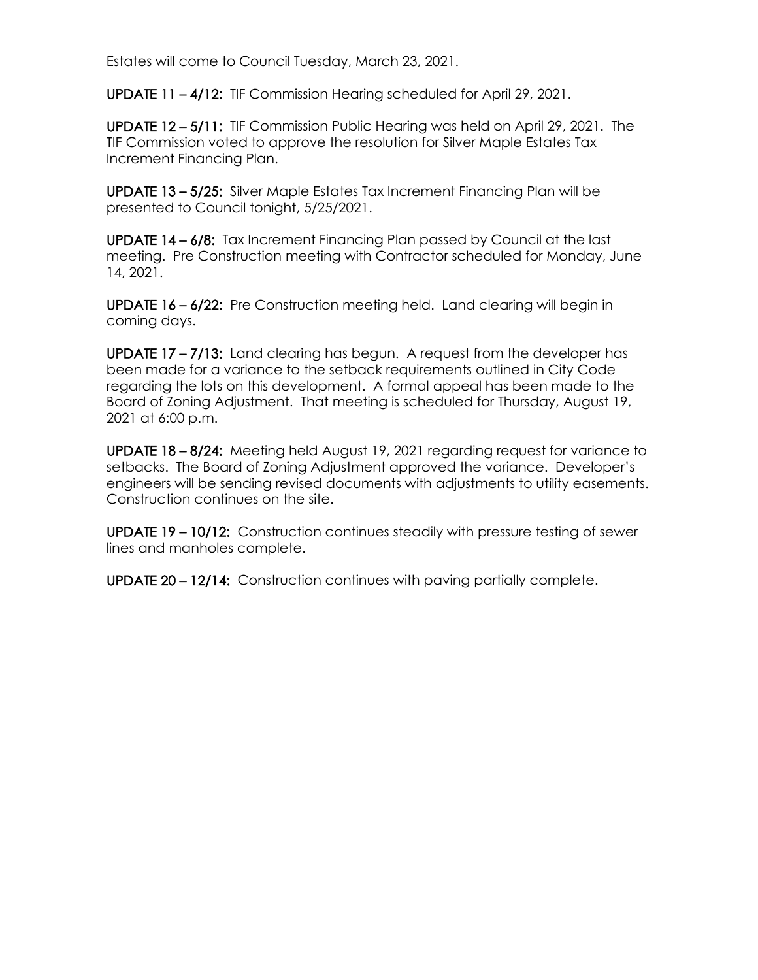Estates will come to Council Tuesday, March 23, 2021.

UPDATE 11 – 4/12: TIF Commission Hearing scheduled for April 29, 2021.

UPDATE 12 – 5/11: TIF Commission Public Hearing was held on April 29, 2021. The TIF Commission voted to approve the resolution for Silver Maple Estates Tax Increment Financing Plan.

UPDATE 13 – 5/25: Silver Maple Estates Tax Increment Financing Plan will be presented to Council tonight, 5/25/2021.

UPDATE 14 – 6/8: Tax Increment Financing Plan passed by Council at the last meeting. Pre Construction meeting with Contractor scheduled for Monday, June 14, 2021.

UPDATE 16 – 6/22: Pre Construction meeting held. Land clearing will begin in coming days.

UPDATE 17 – 7/13: Land clearing has begun. A request from the developer has been made for a variance to the setback requirements outlined in City Code regarding the lots on this development. A formal appeal has been made to the Board of Zoning Adjustment. That meeting is scheduled for Thursday, August 19, 2021 at 6:00 p.m.

UPDATE 18 – 8/24: Meeting held August 19, 2021 regarding request for variance to setbacks. The Board of Zoning Adjustment approved the variance. Developer's engineers will be sending revised documents with adjustments to utility easements. Construction continues on the site.

UPDATE 19 – 10/12: Construction continues steadily with pressure testing of sewer lines and manholes complete.

UPDATE 20 – 12/14: Construction continues with paving partially complete.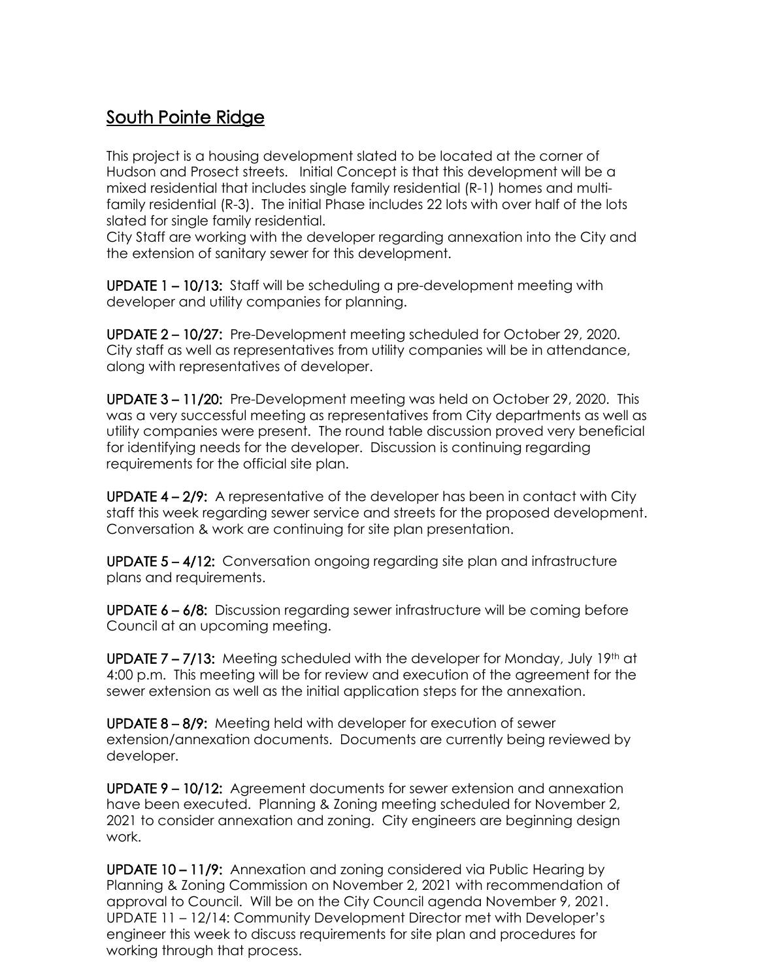## South Pointe Ridge

This project is a housing development slated to be located at the corner of Hudson and Prosect streets. Initial Concept is that this development will be a mixed residential that includes single family residential (R-1) homes and multifamily residential (R-3). The initial Phase includes 22 lots with over half of the lots slated for single family residential.

City Staff are working with the developer regarding annexation into the City and the extension of sanitary sewer for this development.

UPDATE 1 – 10/13: Staff will be scheduling a pre-development meeting with developer and utility companies for planning.

UPDATE 2 – 10/27: Pre-Development meeting scheduled for October 29, 2020. City staff as well as representatives from utility companies will be in attendance, along with representatives of developer.

UPDATE 3 – 11/20: Pre-Development meeting was held on October 29, 2020. This was a very successful meeting as representatives from City departments as well as utility companies were present. The round table discussion proved very beneficial for identifying needs for the developer. Discussion is continuing regarding requirements for the official site plan.

UPDATE 4 – 2/9: A representative of the developer has been in contact with City staff this week regarding sewer service and streets for the proposed development. Conversation & work are continuing for site plan presentation.

UPDATE 5 – 4/12: Conversation ongoing regarding site plan and infrastructure plans and requirements.

UPDATE 6 – 6/8: Discussion regarding sewer infrastructure will be coming before Council at an upcoming meeting.

UPDATE  $7 - 7/13$ : Meeting scheduled with the developer for Monday, July 19<sup>th</sup> at 4:00 p.m. This meeting will be for review and execution of the agreement for the sewer extension as well as the initial application steps for the annexation.

UPDATE 8 – 8/9: Meeting held with developer for execution of sewer extension/annexation documents. Documents are currently being reviewed by developer.

UPDATE 9 – 10/12: Agreement documents for sewer extension and annexation have been executed. Planning & Zoning meeting scheduled for November 2, 2021 to consider annexation and zoning. City engineers are beginning design work.

UPDATE 10 – 11/9: Annexation and zoning considered via Public Hearing by Planning & Zoning Commission on November 2, 2021 with recommendation of approval to Council. Will be on the City Council agenda November 9, 2021. UPDATE 11 – 12/14: Community Development Director met with Developer's engineer this week to discuss requirements for site plan and procedures for working through that process.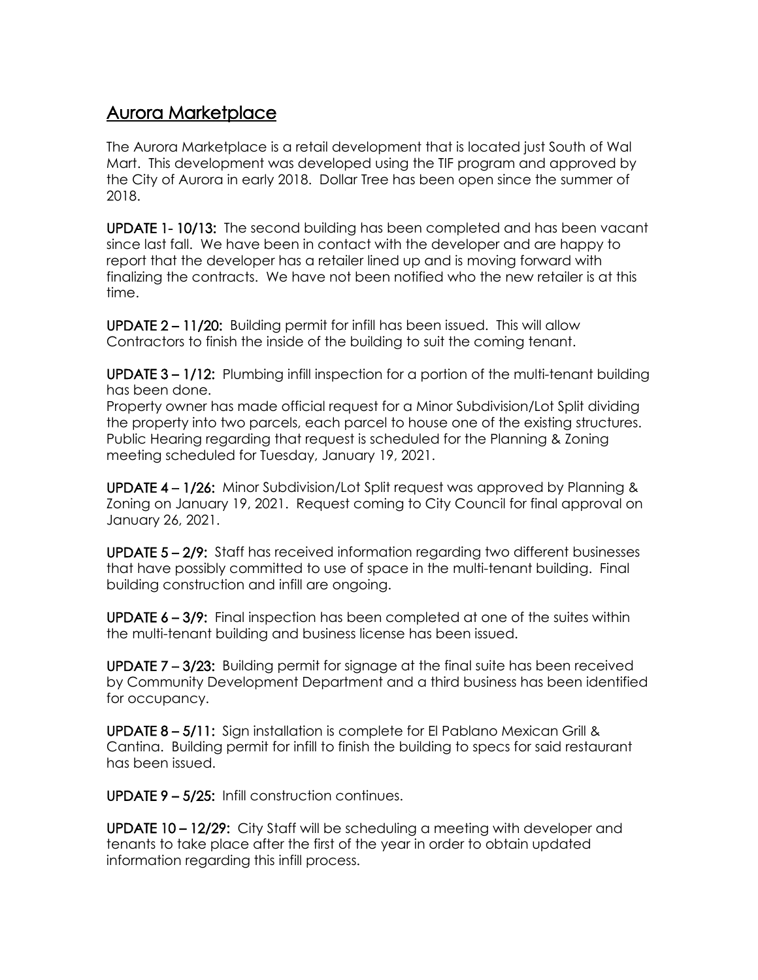## Aurora Marketplace

The Aurora Marketplace is a retail development that is located just South of Wal Mart. This development was developed using the TIF program and approved by the City of Aurora in early 2018. Dollar Tree has been open since the summer of 2018.

UPDATE 1- 10/13: The second building has been completed and has been vacant since last fall. We have been in contact with the developer and are happy to report that the developer has a retailer lined up and is moving forward with finalizing the contracts. We have not been notified who the new retailer is at this time.

UPDATE 2 – 11/20: Building permit for infill has been issued. This will allow Contractors to finish the inside of the building to suit the coming tenant.

UPDATE 3 – 1/12: Plumbing infill inspection for a portion of the multi-tenant building has been done.

Property owner has made official request for a Minor Subdivision/Lot Split dividing the property into two parcels, each parcel to house one of the existing structures. Public Hearing regarding that request is scheduled for the Planning & Zoning meeting scheduled for Tuesday, January 19, 2021.

UPDATE 4 – 1/26: Minor Subdivision/Lot Split request was approved by Planning & Zoning on January 19, 2021. Request coming to City Council for final approval on January 26, 2021.

UPDATE 5 – 2/9: Staff has received information regarding two different businesses that have possibly committed to use of space in the multi-tenant building. Final building construction and infill are ongoing.

UPDATE 6 – 3/9: Final inspection has been completed at one of the suites within the multi-tenant building and business license has been issued.

UPDATE 7 – 3/23: Building permit for signage at the final suite has been received by Community Development Department and a third business has been identified for occupancy.

UPDATE 8 – 5/11: Sign installation is complete for El Pablano Mexican Grill & Cantina. Building permit for infill to finish the building to specs for said restaurant has been issued.

UPDATE 9 – 5/25: Infill construction continues.

UPDATE 10 – 12/29: City Staff will be scheduling a meeting with developer and tenants to take place after the first of the year in order to obtain updated information regarding this infill process.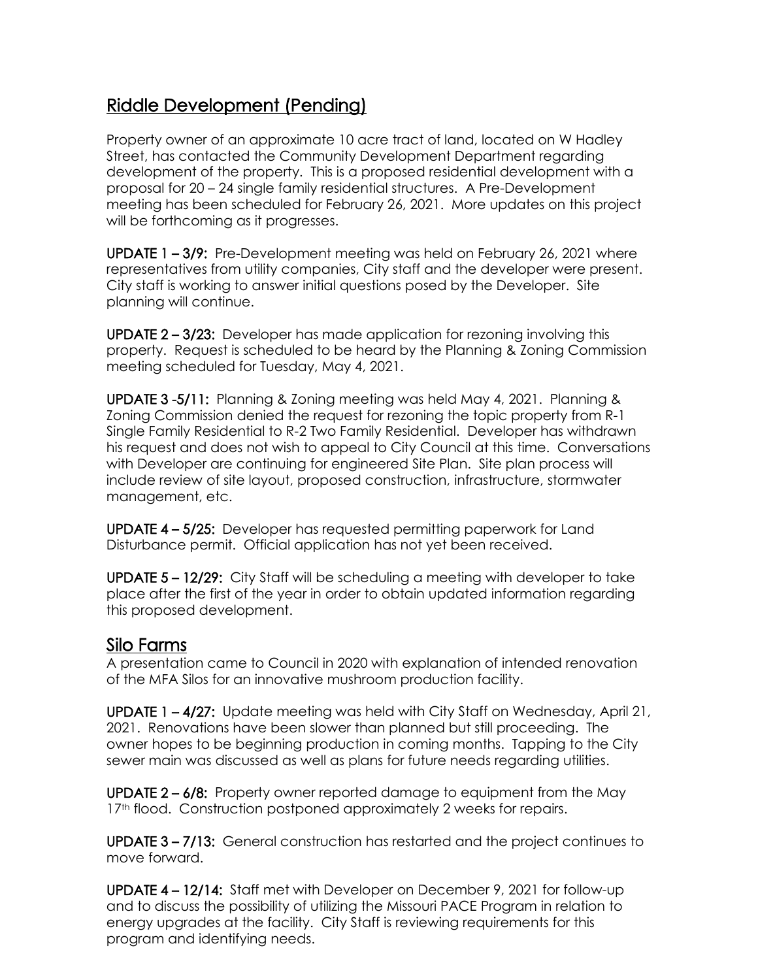## Riddle Development (Pending)

Property owner of an approximate 10 acre tract of land, located on W Hadley Street, has contacted the Community Development Department regarding development of the property. This is a proposed residential development with a proposal for 20 – 24 single family residential structures. A Pre-Development meeting has been scheduled for February 26, 2021. More updates on this project will be forthcoming as it progresses.

UPDATE 1 – 3/9: Pre-Development meeting was held on February 26, 2021 where representatives from utility companies, City staff and the developer were present. City staff is working to answer initial questions posed by the Developer. Site planning will continue.

UPDATE 2 – 3/23: Developer has made application for rezoning involving this property. Request is scheduled to be heard by the Planning & Zoning Commission meeting scheduled for Tuesday, May 4, 2021.

UPDATE 3 -5/11: Planning & Zoning meeting was held May 4, 2021. Planning & Zoning Commission denied the request for rezoning the topic property from R-1 Single Family Residential to R-2 Two Family Residential. Developer has withdrawn his request and does not wish to appeal to City Council at this time. Conversations with Developer are continuing for engineered Site Plan. Site plan process will include review of site layout, proposed construction, infrastructure, stormwater management, etc.

UPDATE 4 – 5/25: Developer has requested permitting paperwork for Land Disturbance permit. Official application has not yet been received.

UPDATE 5 – 12/29: City Staff will be scheduling a meeting with developer to take place after the first of the year in order to obtain updated information regarding this proposed development.

Silo Farms<br>A presentation came to Council in 2020 with explanation of intended renovation of the MFA Silos for an innovative mushroom production facility.

UPDATE 1 – 4/27: Update meeting was held with City Staff on Wednesday, April 21, 2021. Renovations have been slower than planned but still proceeding. The owner hopes to be beginning production in coming months. Tapping to the City sewer main was discussed as well as plans for future needs regarding utilities.

UPDATE 2 – 6/8: Property owner reported damage to equipment from the May 17<sup>th</sup> flood. Construction postponed approximately 2 weeks for repairs.

UPDATE 3 – 7/13: General construction has restarted and the project continues to move forward.

UPDATE 4 – 12/14: Staff met with Developer on December 9, 2021 for follow-up and to discuss the possibility of utilizing the Missouri PACE Program in relation to energy upgrades at the facility. City Staff is reviewing requirements for this program and identifying needs.